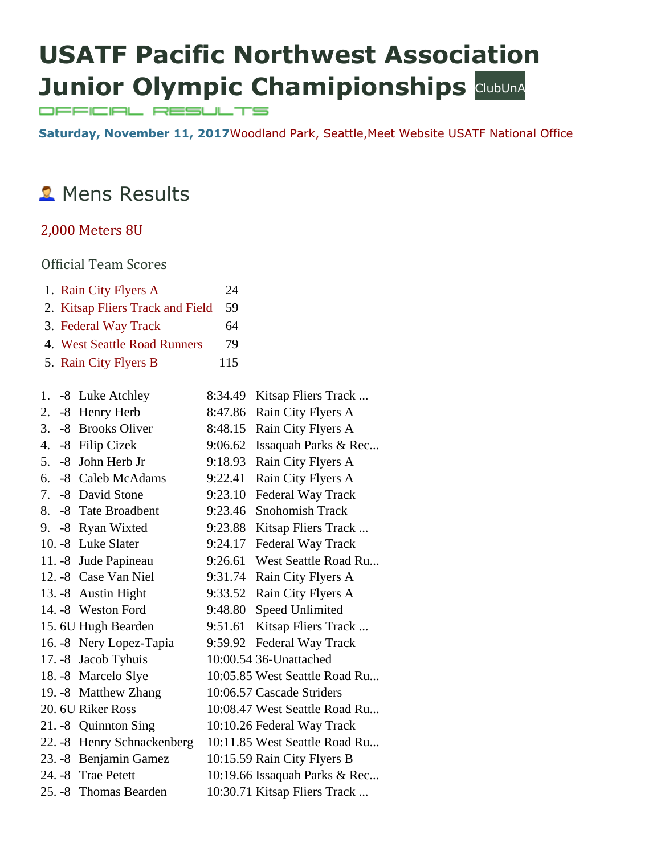# **USATF Pacific Northwest Association Junior Olympic Chamipionships ClubUnA**

OFFICIAL RESULTS

**Saturday, November 11, 2017**[Woodland Park, Seattle,M](https://maps.google.com/maps?saddr=&daddr=Woodland%20Park,%20,%20Seattle%2098101&hl=en)eet [Website](http://pacificnorthwest.usatf.org/Events/2017/2017-Youth-Cross-Country-Schedule.aspx) [USATF National Office](https://www.athletic.net/CrossCountry/School.aspx?SchoolID=33895)

# **2** Mens Results

### [2,000 Meters 8U](https://www.athletic.net/CrossCountry/meet/136547/results/561567)

|    |      | 1. Rain City Flyers A            | 24      |                               |
|----|------|----------------------------------|---------|-------------------------------|
|    |      |                                  | 59      |                               |
|    |      | 2. Kitsap Fliers Track and Field |         |                               |
|    |      | 3. Federal Way Track             | 64      |                               |
|    |      | 4. West Seattle Road Runners     | 79      |                               |
|    |      | 5. Rain City Flyers B            | 115     |                               |
|    |      |                                  |         |                               |
| 1. |      | -8 Luke Atchley                  | 8:34.49 | Kitsap Fliers Track           |
| 2. |      | -8 Henry Herb                    | 8:47.86 | Rain City Flyers A            |
| 3. |      | -8 Brooks Oliver                 | 8:48.15 | Rain City Flyers A            |
|    |      | 4. - 8 Filip Cizek               | 9:06.62 | Issaquah Parks & Rec          |
| 5. | $-8$ | John Herb Jr                     | 9:18.93 | Rain City Flyers A            |
| 6. |      | -8 Caleb McAdams                 | 9:22.41 | Rain City Flyers A            |
| 7. |      | -8 David Stone                   | 9:23.10 | Federal Way Track             |
| 8. |      | -8 Tate Broadbent                | 9:23.46 | <b>Snohomish Track</b>        |
|    |      | 9. -8 Ryan Wixted                | 9:23.88 | Kitsap Fliers Track           |
|    |      | 10. -8 Luke Slater               | 9:24.17 | Federal Way Track             |
|    |      | 11. -8 Jude Papineau             | 9:26.61 | West Seattle Road Ru          |
|    |      | 12. -8 Case Van Niel             | 9:31.74 | Rain City Flyers A            |
|    |      | 13. -8 Austin Hight              | 9:33.52 | Rain City Flyers A            |
|    |      | 14. - 8 Weston Ford              | 9:48.80 | <b>Speed Unlimited</b>        |
|    |      | 15. 6U Hugh Bearden              | 9:51.61 | Kitsap Fliers Track           |
|    |      | 16. -8 Nery Lopez-Tapia          | 9:59.92 | Federal Way Track             |
|    |      | 17. -8 Jacob Tyhuis              |         | 10:00.54 36-Unattached        |
|    |      | 18. -8 Marcelo Slye              |         | 10:05.85 West Seattle Road Ru |
|    |      | 19. -8 Matthew Zhang             |         | 10:06.57 Cascade Striders     |
|    |      | 20. 6U Riker Ross                |         | 10:08.47 West Seattle Road Ru |
|    |      | 21. -8 Quinnton Sing             |         | 10:10.26 Federal Way Track    |
|    |      | 22. -8 Henry Schnackenberg       |         | 10:11.85 West Seattle Road Ru |
|    |      | 23. -8 Benjamin Gamez            |         | 10:15.59 Rain City Flyers B   |
|    |      | 24. - 8 Trae Petett              |         | 10:19.66 Issaquah Parks & Rec |
|    |      | 25. -8 Thomas Bearden            |         | 10:30.71 Kitsap Fliers Track  |
|    |      |                                  |         |                               |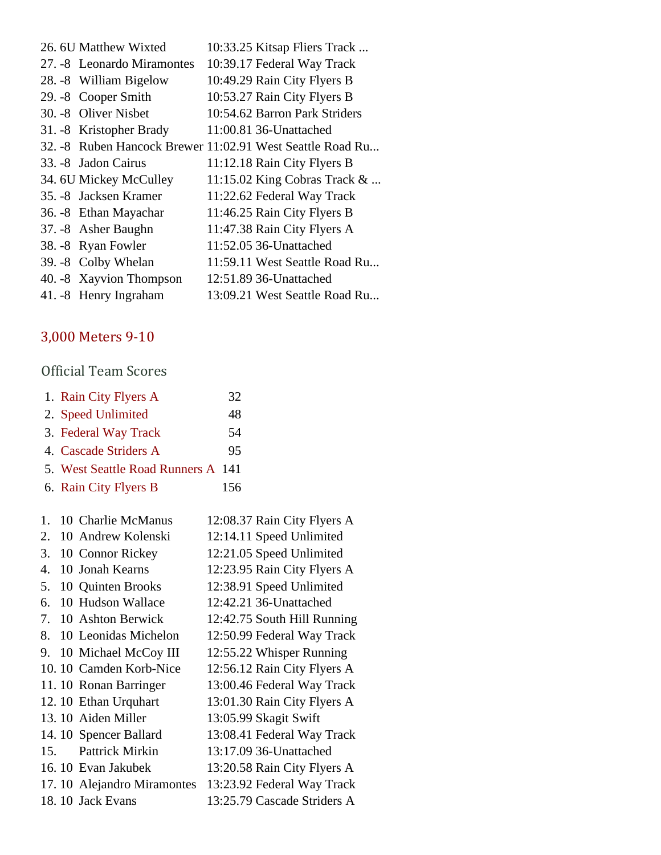| 26. 6U Matthew Wixted                                     | 10:33.25 Kitsap Fliers Track  |
|-----------------------------------------------------------|-------------------------------|
| 27. -8 Leonardo Miramontes                                | 10:39.17 Federal Way Track    |
| 28. -8 William Bigelow                                    | 10:49.29 Rain City Flyers B   |
| 29. - 8 Cooper Smith                                      | 10:53.27 Rain City Flyers B   |
| 30. -8 Oliver Nisbet                                      | 10:54.62 Barron Park Striders |
| 31. -8 Kristopher Brady                                   | 11:00.81 36-Unattached        |
| 32. -8 Ruben Hancock Brewer 11:02.91 West Seattle Road Ru |                               |
| 33. - 8 Jadon Cairus                                      | 11:12.18 Rain City Flyers B   |
| 34. 6U Mickey McCulley                                    | 11:15.02 King Cobras Track &  |
| 35. - 8 Jacksen Kramer                                    | 11:22.62 Federal Way Track    |
| 36. - 8 Ethan Mayachar                                    | 11:46.25 Rain City Flyers B   |
| 37. -8 Asher Baughn                                       | 11:47.38 Rain City Flyers A   |
| 38. -8 Ryan Fowler                                        | 11:52.05 36-Unattached        |
| 39. -8 Colby Whelan                                       | 11:59.11 West Seattle Road Ru |
| 40. -8 Xayvion Thompson                                   | 12:51.89 36-Unattached        |
| 41. -8 Henry Ingraham                                     | 13:09.21 West Seattle Road Ru |

# [3,000 Meters 9-10](https://www.athletic.net/CrossCountry/meet/136547/results/561569)

| 1. Rain City Flyers A              | 32  |
|------------------------------------|-----|
| 2. Speed Unlimited                 | 48  |
| 3. Federal Way Track               | 54  |
| 4. Cascade Striders A              | 95  |
| 5. West Seattle Road Runners A 141 |     |
| 6. Rain City Flyers B              | 156 |
|                                    |     |

| $\mathbf{1}$ . | 10 Charlie McManus         | 12:08.37 Rain City Flyers A |
|----------------|----------------------------|-----------------------------|
| 2.             | 10 Andrew Kolenski         | 12:14.11 Speed Unlimited    |
| 3.             | 10 Connor Rickey           | 12:21.05 Speed Unlimited    |
| 4.             | 10 Jonah Kearns            | 12:23.95 Rain City Flyers A |
| .5.            | 10 Quinten Brooks          | 12:38.91 Speed Unlimited    |
| 6.             | 10 Hudson Wallace          | 12:42.21 36-Unattached      |
| 7.             | 10 Ashton Berwick          | 12:42.75 South Hill Running |
| 8.             | 10 Leonidas Michelon       | 12:50.99 Federal Way Track  |
| 9.             | 10 Michael McCoy III       | 12:55.22 Whisper Running    |
|                | 10.10 Camden Korb-Nice     | 12:56.12 Rain City Flyers A |
|                | 11.10 Ronan Barringer      | 13:00.46 Federal Way Track  |
|                | 12. 10 Ethan Urquhart      | 13:01.30 Rain City Flyers A |
|                | 13.10 Aiden Miller         | 13:05.99 Skagit Swift       |
|                | 14.10 Spencer Ballard      | 13:08.41 Federal Way Track  |
| 15.            | <b>Pattrick Mirkin</b>     | 13:17.09 36-Unattached      |
|                | 16.10 Evan Jakubek         | 13:20.58 Rain City Flyers A |
|                | 17.10 Alejandro Miramontes | 13:23.92 Federal Way Track  |
|                | 18.10 Jack Evans           | 13:25.79 Cascade Striders A |
|                |                            |                             |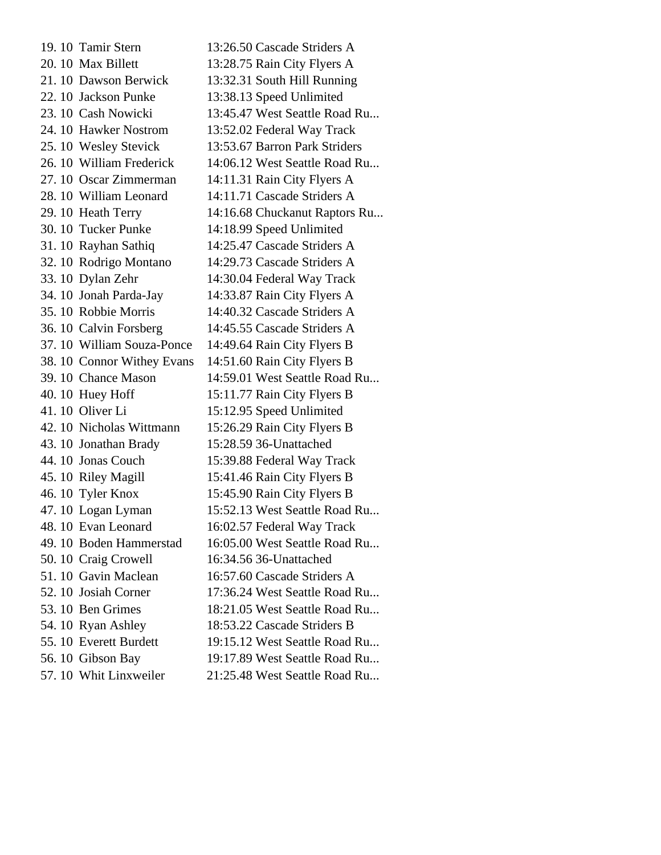19. 10 Tamir Stern 13:26.50 Cascade Striders A 20. 10 Max Billett 13:28.75 Rain City Flyers A 21. 10 Dawson Berwick 13:32.31 South Hill Running 22. 10 Jackson Punke 13:38.13 Speed Unlimited 23. 10 Cash Nowicki 13:45.47 West Seattle Road Ru... 24. 10 Hawker Nostrom 13:52.02 Federal Way Track 25. 10 Wesley Stevick 13:53.67 Barron Park Striders 26. 10 William Frederick 14:06.12 West Seattle Road Ru... 27. 10 Oscar Zimmerman 14:11.31 Rain City Flyers A 28. 10 William Leonard 14:11.71 Cascade Striders A 29. 10 Heath Terry 14:16.68 Chuckanut Raptors Ru... 30. 10 Tucker Punke 14:18.99 Speed Unlimited 31. 10 Rayhan Sathiq 14:25.47 Cascade Striders A 32. 10 Rodrigo Montano 14:29.73 Cascade Striders A 33. 10 Dylan Zehr 14:30.04 Federal Way Track 34. 10 Jonah Parda-Jay 14:33.87 Rain City Flyers A 35. 10 Robbie Morris 14:40.32 Cascade Striders A 36. 10 Calvin Forsberg 14:45.55 Cascade Striders A 37. 10 William Souza-Ponce 14:49.64 Rain City Flyers B 38. 10 Connor Withey Evans 14:51.60 Rain City Flyers B 39. 10 Chance Mason 14:59.01 West Seattle Road Ru... 40. 10 Huey Hoff 15:11.77 Rain City Flyers B 41. 10 Oliver Li 15:12.95 Speed Unlimited 42. 10 Nicholas Wittmann 15:26.29 Rain City Flyers B 43. 10 Jonathan Brady 15:28.59 36-Unattached 44. 10 Jonas Couch 15:39.88 Federal Way Track 45. 10 Riley Magill 15:41.46 Rain City Flyers B 46. 10 Tyler Knox 15:45.90 Rain City Flyers B 47. 10 Logan Lyman 15:52.13 West Seattle Road Ru... 48. 10 Evan Leonard 16:02.57 Federal Way Track 49. 10 Boden Hammerstad 16:05.00 West Seattle Road Ru... 50. 10 Craig Crowell 16:34.56 36-Unattached 51. 10 Gavin Maclean 16:57.60 Cascade Striders A 52. 10 Josiah Corner 17:36.24 West Seattle Road Ru... 53. 10 Ben Grimes 18:21.05 West Seattle Road Ru... 54. 10 Ryan Ashley 18:53.22 Cascade Striders B 55. 10 Everett Burdett 19:15.12 West Seattle Road Ru... 56. 10 Gibson Bay 19:17.89 West Seattle Road Ru... 57. 10 Whit Linxweiler 21:25.48 West Seattle Road Ru...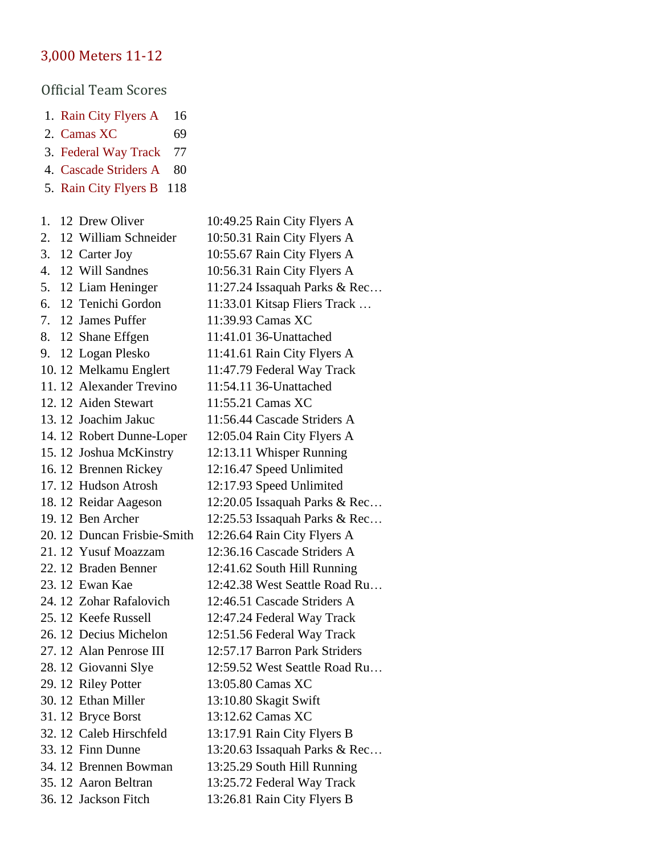# [3,000 Meters 11-12](https://www.athletic.net/CrossCountry/meet/136547/results/561571)

- 1. [Rain City Flyers A](https://www.athletic.net/CrossCountry/School.aspx?SchoolID=30070) 16
- 2. [Camas XC](https://www.athletic.net/CrossCountry/School.aspx?SchoolID=74647) 69
- 3. [Federal Way Track](https://www.athletic.net/CrossCountry/School.aspx?SchoolID=29808) 77
- 4. [Cascade Striders A](https://www.athletic.net/CrossCountry/School.aspx?SchoolID=30059) 80
- 5. [Rain City Flyers B](https://www.athletic.net/CrossCountry/School.aspx?SchoolID=30070) 118

| 1. | 12 Drew Oliver              | 10:49.25 Rain City Flyers A   |
|----|-----------------------------|-------------------------------|
| 2. | 12 William Schneider        | 10:50.31 Rain City Flyers A   |
| 3. | 12 Carter Joy               | 10:55.67 Rain City Flyers A   |
| 4. | 12 Will Sandnes             | 10:56.31 Rain City Flyers A   |
| 5. | 12 Liam Heninger            | 11:27.24 Issaquah Parks & Rec |
| 6. | 12 Tenichi Gordon           | 11:33.01 Kitsap Fliers Track  |
| 7. | 12 James Puffer             | 11:39.93 Camas XC             |
| 8. | 12 Shane Effgen             | 11:41.01 36-Unattached        |
| 9. | 12 Logan Plesko             | 11:41.61 Rain City Flyers A   |
|    | 10.12 Melkamu Englert       | 11:47.79 Federal Way Track    |
|    | 11.12 Alexander Trevino     | 11:54.11 36-Unattached        |
|    | 12.12 Aiden Stewart         | 11:55.21 Camas XC             |
|    | 13.12 Joachim Jakuc         | 11:56.44 Cascade Striders A   |
|    | 14.12 Robert Dunne-Loper    | 12:05.04 Rain City Flyers A   |
|    | 15.12 Joshua McKinstry      | 12:13.11 Whisper Running      |
|    | 16.12 Brennen Rickey        | 12:16.47 Speed Unlimited      |
|    | 17.12 Hudson Atrosh         | 12:17.93 Speed Unlimited      |
|    | 18.12 Reidar Aageson        | 12:20.05 Issaquah Parks & Rec |
|    | 19.12 Ben Archer            | 12:25.53 Issaquah Parks & Rec |
|    | 20. 12 Duncan Frisbie-Smith | 12:26.64 Rain City Flyers A   |
|    | 21.12 Yusuf Moazzam         | 12:36.16 Cascade Striders A   |
|    | 22.12 Braden Benner         | 12:41.62 South Hill Running   |
|    | 23.12 Ewan Kae              | 12:42.38 West Seattle Road Ru |
|    | 24. 12 Zohar Rafalovich     | 12:46.51 Cascade Striders A   |
|    | 25.12 Keefe Russell         | 12:47.24 Federal Way Track    |
|    | 26.12 Decius Michelon       | 12:51.56 Federal Way Track    |
|    | 27. 12 Alan Penrose III     | 12:57.17 Barron Park Striders |
|    | 28.12 Giovanni Slye         | 12:59.52 West Seattle Road Ru |
|    | 29.12 Riley Potter          | 13:05.80 Camas XC             |
|    | 30. 12 Ethan Miller         | 13:10.80 Skagit Swift         |
|    | 31.12 Bryce Borst           | 13:12.62 Camas XC             |
|    | 32.12 Caleb Hirschfeld      | 13:17.91 Rain City Flyers B   |
|    | 33.12 Finn Dunne            | 13:20.63 Issaquah Parks & Rec |
|    | 34.12 Brennen Bowman        | 13:25.29 South Hill Running   |
|    | 35.12 Aaron Beltran         | 13:25.72 Federal Way Track    |
|    | 36.12 Jackson Fitch         | 13:26.81 Rain City Flyers B   |
|    |                             |                               |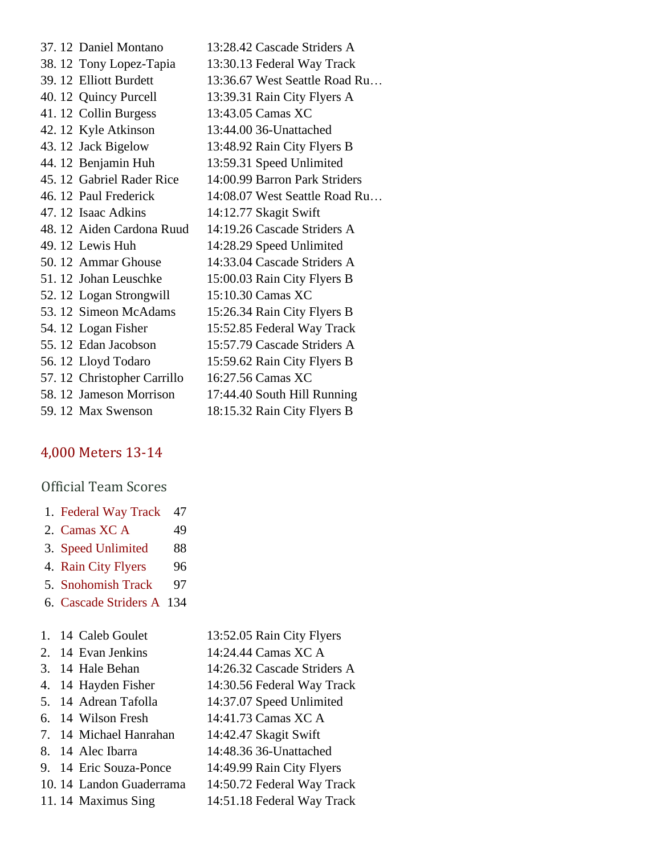| 37.12 Daniel Montano        | 13:28.42 Cascade Striders A   |
|-----------------------------|-------------------------------|
| 38.12 Tony Lopez-Tapia      | 13:30.13 Federal Way Track    |
| 39. 12 Elliott Burdett      | 13:36.67 West Seattle Road Ru |
| 40. 12 Quincy Purcell       | 13:39.31 Rain City Flyers A   |
| 41.12 Collin Burgess        | 13:43.05 Camas XC             |
| 42.12 Kyle Atkinson         | 13:44.00 36-Unattached        |
| 43.12 Jack Bigelow          | 13:48.92 Rain City Flyers B   |
| 44. 12 Benjamin Huh         | 13:59.31 Speed Unlimited      |
| 45.12 Gabriel Rader Rice    | 14:00.99 Barron Park Striders |
| 46. 12 Paul Frederick       | 14:08.07 West Seattle Road Ru |
| 47. 12 Isaac Adkins         | 14:12.77 Skagit Swift         |
| 48.12 Aiden Cardona Ruud    | 14:19.26 Cascade Striders A   |
| 49. 12 Lewis Huh            | 14:28.29 Speed Unlimited      |
| 50. 12 Ammar Ghouse         | 14:33.04 Cascade Striders A   |
| 51.12 Johan Leuschke        | 15:00.03 Rain City Flyers B   |
| 52.12 Logan Strongwill      | 15:10.30 Camas XC             |
| 53.12 Simeon McAdams        | 15:26.34 Rain City Flyers B   |
| 54. 12 Logan Fisher         | 15:52.85 Federal Way Track    |
| 55.12 Edan Jacobson         | 15:57.79 Cascade Striders A   |
| 56.12 Lloyd Todaro          | 15:59.62 Rain City Flyers B   |
| 57. 12 Christopher Carrillo | 16:27.56 Camas XC             |
| 58.12 Jameson Morrison      | 17:44.40 South Hill Running   |
| 59.12 Max Swenson           | 18:15.32 Rain City Flyers B   |

### [4,000 Meters 13-14](https://www.athletic.net/CrossCountry/meet/136547/results/561573)

#### Official Team Scores

| 1. Federal Way Track | 47 |
|----------------------|----|
| 2. Camas XC A        | 49 |
| 3. Speed Unlimited   | 88 |
| 4. Rain City Flyers  | 96 |

- 5. [Snohomish Track](https://www.athletic.net/CrossCountry/School.aspx?SchoolID=30073) 97
- 6. [Cascade Striders A](https://www.athletic.net/CrossCountry/School.aspx?SchoolID=30059) 134

|  | 1. 14 Caleb Goulet |
|--|--------------------|
|  |                    |

| 2. 14 Evan Jenkins | 14:24.44 Camas XC A |
|--------------------|---------------------|
|                    |                     |

3. 14 Hale Behan 14:26.32 Cascade Striders A

13:52.05 Rain City Flyers

- 4. 14 Hayden Fisher 14:30.56 Federal Way Track
- 5. 14 Adrean Tafolla 14:37.07 Speed Unlimited
- 6. 14 Wilson Fresh 14:41.73 Camas XC A
- 7. 14 Michael Hanrahan 14:42.47 Skagit Swift
- 8. 14 Alec Ibarra 14:48.36 36-Unattached
- 9. 14 Eric Souza-Ponce 14:49.99 Rain City Flyers
- 10. 14 Landon Guaderrama 14:50.72 Federal Way Track
- 11. 14 Maximus Sing 14:51.18 Federal Way Track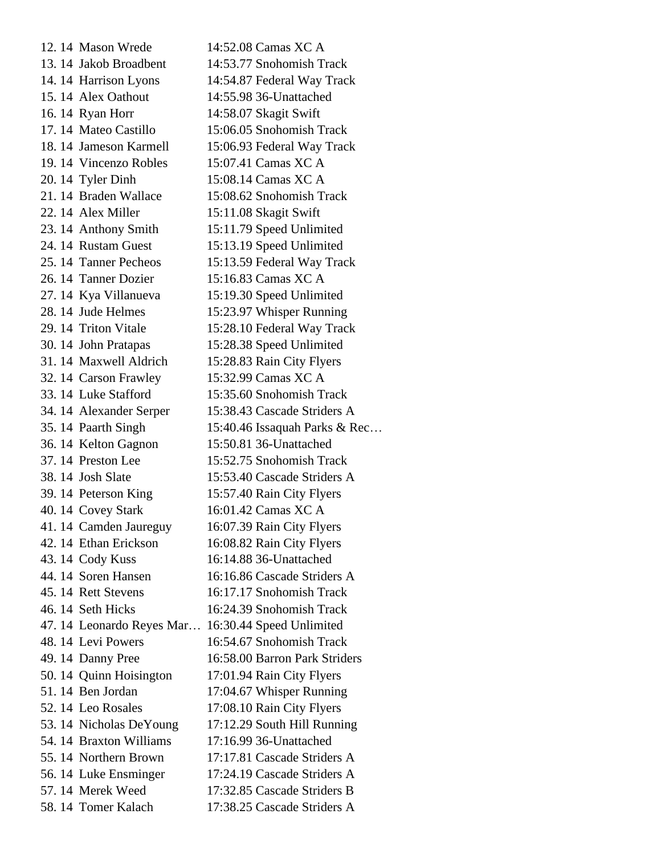12. 14 Mason Wrede 14:52.08 Camas XC A 13. 14 Jakob Broadbent 14:53.77 Snohomish Track 14. 14 Harrison Lyons 14:54.87 Federal Way Track 15. 14 Alex Oathout 14:55.98 36-Unattached 16. 14 Ryan Horr 14:58.07 Skagit Swift 17. 14 Mateo Castillo 15:06.05 Snohomish Track 18. 14 Jameson Karmell 15:06.93 Federal Way Track 19. 14 Vincenzo Robles 15:07.41 Camas XC A 20. 14 Tyler Dinh 15:08.14 Camas XC A 21. 14 Braden Wallace 15:08.62 Snohomish Track 22. 14 Alex Miller 15:11.08 Skagit Swift 23. 14 Anthony Smith 15:11.79 Speed Unlimited 24. 14 Rustam Guest 15:13.19 Speed Unlimited 25. 14 Tanner Pecheos 15:13.59 Federal Way Track 26. 14 Tanner Dozier 15:16.83 Camas XC A 27. 14 Kya Villanueva 15:19.30 Speed Unlimited 28. 14 Jude Helmes 15:23.97 Whisper Running 29. 14 Triton Vitale 15:28.10 Federal Way Track 30. 14 John Pratapas 15:28.38 Speed Unlimited 31. 14 Maxwell Aldrich 15:28.83 Rain City Flyers 32. 14 Carson Frawley 15:32.99 Camas XC A 33. 14 Luke Stafford 15:35.60 Snohomish Track 34. 14 Alexander Serper 15:38.43 Cascade Striders A 35. 14 Paarth Singh 15:40.46 Issaquah Parks & Rec… 36. 14 Kelton Gagnon 15:50.81 36-Unattached 37. 14 Preston Lee 15:52.75 Snohomish Track 38. 14 Josh Slate 15:53.40 Cascade Striders A 39. 14 Peterson King 15:57.40 Rain City Flyers 40. 14 Covey Stark 16:01.42 Camas XC A 41. 14 Camden Jaureguy 16:07.39 Rain City Flyers 42. 14 Ethan Erickson 16:08.82 Rain City Flyers 43. 14 Cody Kuss 16:14.88 36-Unattached 44. 14 Soren Hansen 16:16.86 Cascade Striders A 45. 14 Rett Stevens 16:17.17 Snohomish Track 46. 14 Seth Hicks 16:24.39 Snohomish Track 47. 14 Leonardo Reyes Mar… 16:30.44 Speed Unlimited 48. 14 Levi Powers 16:54.67 Snohomish Track 49. 14 Danny Pree 16:58.00 Barron Park Striders 50. 14 Quinn Hoisington 17:01.94 Rain City Flyers 51. 14 Ben Jordan 17:04.67 Whisper Running 52. 14 Leo Rosales 17:08.10 Rain City Flyers 53. 14 Nicholas DeYoung 17:12.29 South Hill Running 54. 14 Braxton Williams 17:16.99 36-Unattached 55. 14 Northern Brown 17:17.81 Cascade Striders A 56. 14 Luke Ensminger 17:24.19 Cascade Striders A 57. 14 Merek Weed 17:32.85 Cascade Striders B 58. 14 Tomer Kalach 17:38.25 Cascade Striders A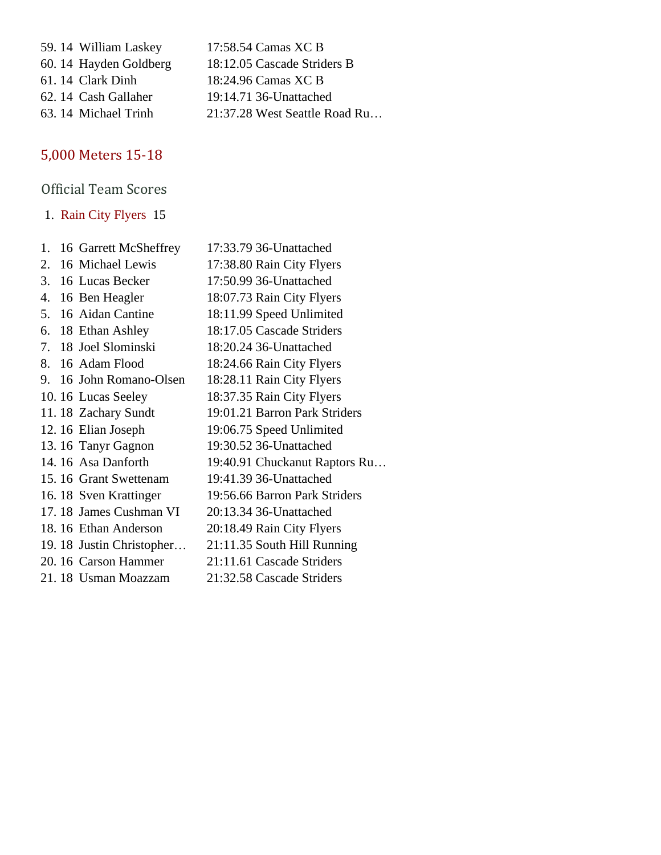59. 14 William Laskey 17:58.54 Camas XC B 60. 14 Hayden Goldberg 18:12.05 Cascade Striders B 61. 14 Clark Dinh 18:24.96 Camas XC B 62. 14 Cash Gallaher 19:14.71 36-Unattached 63. 14 Michael Trinh 21:37.28 West Seattle Road Ru…

# [5,000 Meters 15-18](https://www.athletic.net/CrossCountry/meet/136547/results/561575)

# Official Team Scores

1. [Rain City Flyers](https://www.athletic.net/CrossCountry/School.aspx?SchoolID=30070) 15

|    | 1. 16 Garrett McSheffrey | 17:33.79 36-Unattached        |
|----|--------------------------|-------------------------------|
| 2. | 16 Michael Lewis         | 17:38.80 Rain City Flyers     |
|    | 3. 16 Lucas Becker       | 17:50.99 36-Unattached        |
| 4. | 16 Ben Heagler           | 18:07.73 Rain City Flyers     |
|    | 5. 16 Aidan Cantine      | 18:11.99 Speed Unlimited      |
|    | 6. 18 Ethan Ashley       | 18:17.05 Cascade Striders     |
| 7. | 18 Joel Slominski        | 18:20.24 36-Unattached        |
|    | 8. 16 Adam Flood         | 18:24.66 Rain City Flyers     |
|    | 9. 16 John Romano-Olsen  | 18:28.11 Rain City Flyers     |
|    | 10.16 Lucas Seeley       | 18:37.35 Rain City Flyers     |
|    | 11.18 Zachary Sundt      | 19:01.21 Barron Park Striders |
|    | 12.16 Elian Joseph       | 19:06.75 Speed Unlimited      |
|    | 13.16 Tanyr Gagnon       | 19:30.52 36-Unattached        |
|    | 14.16 Asa Danforth       | 19:40.91 Chuckanut Raptors Ru |
|    | 15.16 Grant Swettenam    | 19:41.39 36-Unattached        |
|    | 16.18 Sven Krattinger    | 19:56.66 Barron Park Striders |
|    | 17.18 James Cushman VI   | 20:13.34 36-Unattached        |
|    | 18.16 Ethan Anderson     | 20:18.49 Rain City Flyers     |
|    | 19.18 Justin Christopher | 21:11.35 South Hill Running   |
|    | 20. 16 Carson Hammer     | 21:11.61 Cascade Striders     |
|    | 21.18 Usman Moazzam      | 21:32.58 Cascade Striders     |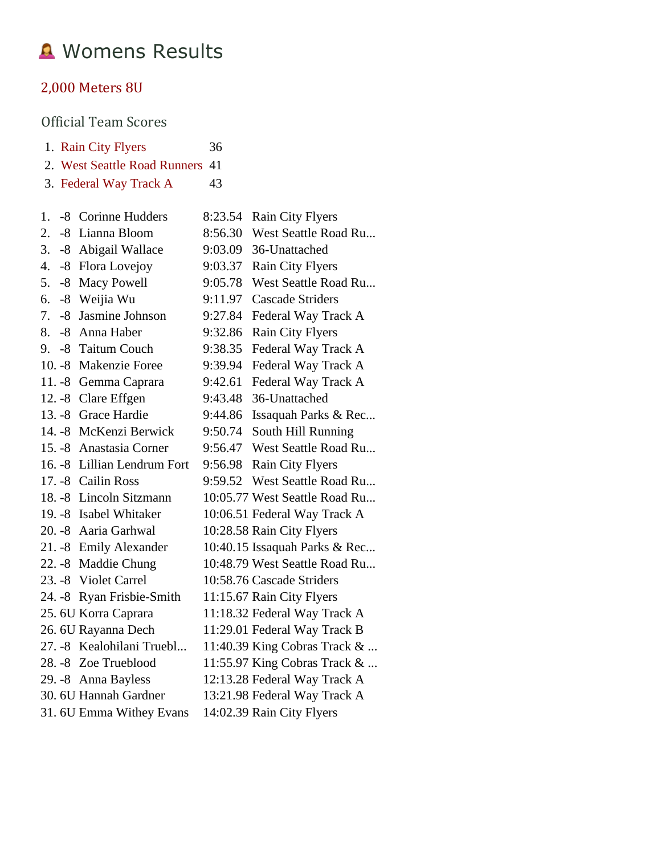# **A** Womens Results

## [2,000 Meters](https://www.athletic.net/CrossCountry/meet/136547/results/561568) 8U

|    |      | 1. Rain City Flyers          | 36      |                               |
|----|------|------------------------------|---------|-------------------------------|
|    |      | 2. West Seattle Road Runners | 41      |                               |
|    |      | 3. Federal Way Track A       | 43      |                               |
| 1. |      | -8 Corinne Hudders           | 8:23.54 | Rain City Flyers              |
| 2. | $-8$ | Lianna Bloom                 | 8:56.30 | West Seattle Road Ru          |
| 3. | $-8$ | Abigail Wallace              | 9:03.09 | 36-Unattached                 |
| 4. | $-8$ | Flora Lovejoy                | 9:03.37 | <b>Rain City Flyers</b>       |
| 5. | $-8$ | Macy Powell                  | 9:05.78 | West Seattle Road Ru          |
| 6. | $-8$ | Weijia Wu                    | 9:11.97 | <b>Cascade Striders</b>       |
| 7. | $-8$ | Jasmine Johnson              | 9:27.84 | Federal Way Track A           |
| 8. | -8   | Anna Haber                   | 9:32.86 | <b>Rain City Flyers</b>       |
| 9. |      | -8 Taitum Couch              | 9:38.35 | Federal Way Track A           |
|    |      | 10. - 8 Makenzie Foree       | 9:39.94 | Federal Way Track A           |
|    |      | 11. -8 Gemma Caprara         | 9:42.61 | Federal Way Track A           |
|    |      | 12. -8 Clare Effgen          | 9:43.48 | 36-Unattached                 |
|    |      | 13. -8 Grace Hardie          | 9:44.86 | Issaquah Parks & Rec          |
|    |      | 14. - 8 McKenzi Berwick      | 9:50.74 | South Hill Running            |
|    |      | 15. -8 Anastasia Corner      | 9:56.47 | West Seattle Road Ru          |
|    |      | 16. - 8 Lillian Lendrum Fort | 9:56.98 | Rain City Flyers              |
|    |      | 17. - 8 Cailin Ross          | 9:59.52 | West Seattle Road Ru          |
|    |      | 18. -8 Lincoln Sitzmann      |         | 10:05.77 West Seattle Road Ru |
|    |      | 19. - 8 Isabel Whitaker      |         | 10:06.51 Federal Way Track A  |
|    |      | 20. - 8 Aaria Garhwal        |         | 10:28.58 Rain City Flyers     |
|    |      | 21. -8 Emily Alexander       |         | 10:40.15 Issaquah Parks & Rec |
|    |      | 22. -8 Maddie Chung          |         | 10:48.79 West Seattle Road Ru |
|    |      | 23. - 8 Violet Carrel        |         | 10:58.76 Cascade Striders     |
|    |      | 24. -8 Ryan Frisbie-Smith    |         | 11:15.67 Rain City Flyers     |
|    |      | 25. 6U Korra Caprara         |         | 11:18.32 Federal Way Track A  |
|    |      | 26. 6U Rayanna Dech          |         | 11:29.01 Federal Way Track B  |
|    |      | 27. -8 Kealohilani Truebl    |         | 11:40.39 King Cobras Track &  |
|    |      | 28. -8 Zoe Trueblood         |         | 11:55.97 King Cobras Track &  |
|    |      | 29. - 8 Anna Bayless         |         | 12:13.28 Federal Way Track A  |
|    |      | 30. 6U Hannah Gardner        |         | 13:21.98 Federal Way Track A  |
|    |      | 31. 6U Emma Withey Evans     |         | 14:02.39 Rain City Flyers     |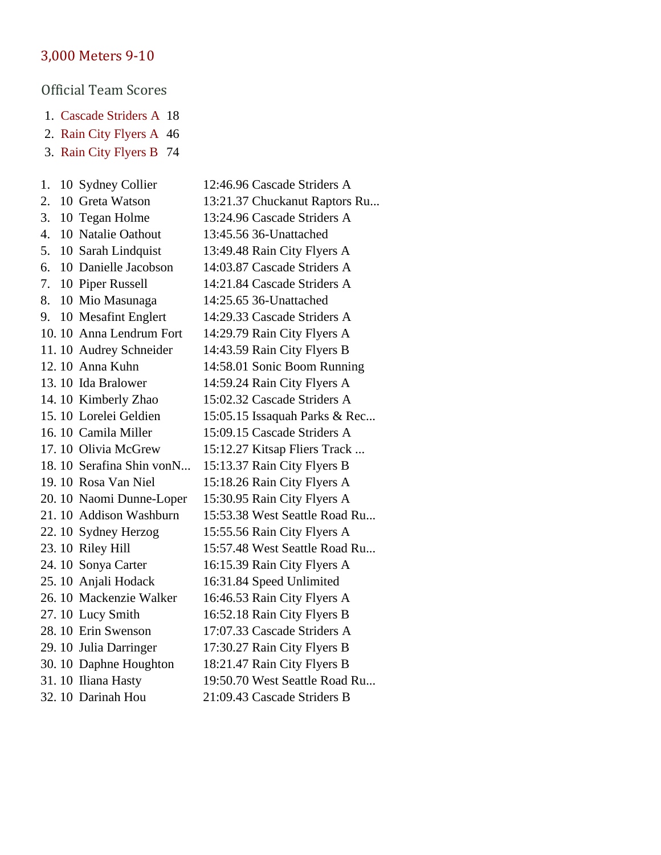#### [3,000 Meters 9-10](https://www.athletic.net/CrossCountry/meet/136547/results/561570)

- 1. [Cascade Striders A](https://www.athletic.net/CrossCountry/School.aspx?SchoolID=30059) 18
- 2. [Rain City Flyers A](https://www.athletic.net/CrossCountry/School.aspx?SchoolID=30070) 46
- 3. [Rain City Flyers B](https://www.athletic.net/CrossCountry/School.aspx?SchoolID=30070) 74
- 1. 10 Sydney Collier 12:46.96 Cascade Striders A 2. 10 Greta Watson 13:21.37 Chuckanut Raptors Ru... 3. 10 Tegan Holme 13:24.96 Cascade Striders A 4. 10 Natalie Oathout 13:45.56 36-Unattached 5. 10 Sarah Lindquist 13:49.48 Rain City Flyers A 6. 10 Danielle Jacobson 14:03.87 Cascade Striders A 7. 10 Piper Russell 14:21.84 Cascade Striders A 8. 10 Mio Masunaga 14:25.65 36-Unattached 9. 10 Mesafint Englert 14:29.33 Cascade Striders A 10. 10 Anna Lendrum Fort 14:29.79 Rain City Flyers A 11. 10 Audrey Schneider 14:43.59 Rain City Flyers B 12. 10 Anna Kuhn 14:58.01 Sonic Boom Running 13. 10 Ida Bralower 14:59.24 Rain City Flyers A 14. 10 Kimberly Zhao 15:02.32 Cascade Striders A 15. 10 Lorelei Geldien 15:05.15 Issaquah Parks & Rec... 16. 10 Camila Miller 15:09.15 Cascade Striders A 17. 10 Olivia McGrew 15:12.27 Kitsap Fliers Track ... 18. 10 Serafina Shin vonN... 15:13.37 Rain City Flyers B 19. 10 Rosa Van Niel 15:18.26 Rain City Flyers A 20. 10 Naomi Dunne-Loper 15:30.95 Rain City Flyers A 21. 10 Addison Washburn 15:53.38 West Seattle Road Ru... 22. 10 Sydney Herzog 15:55.56 Rain City Flyers A 23. 10 Riley Hill 15:57.48 West Seattle Road Ru... 24. 10 Sonya Carter 16:15.39 Rain City Flyers A 25. 10 Anjali Hodack 16:31.84 Speed Unlimited 26. 10 Mackenzie Walker 16:46.53 Rain City Flyers A 27. 10 Lucy Smith 16:52.18 Rain City Flyers B 28. 10 Erin Swenson 17:07.33 Cascade Striders A 29. 10 Julia Darringer 17:30.27 Rain City Flyers B 30. 10 Daphne Houghton 18:21.47 Rain City Flyers B 31. 10 Iliana Hasty 19:50.70 West Seattle Road Ru... 32. 10 Darinah Hou 21:09.43 Cascade Striders B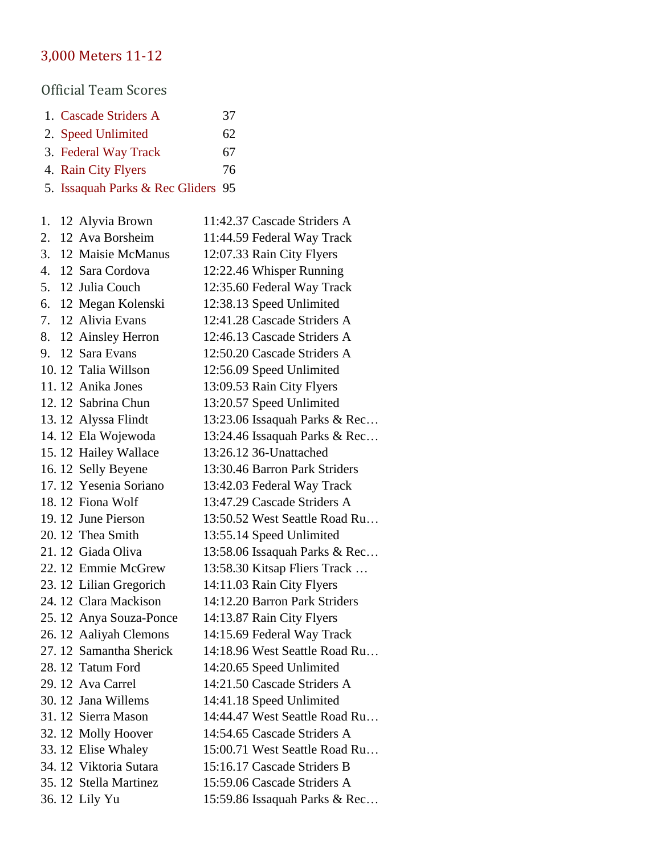# [3,000 Meters 11-12](https://www.athletic.net/CrossCountry/meet/136547/results/561572)

- 1. [Cascade Striders A](https://www.athletic.net/CrossCountry/School.aspx?SchoolID=30059) 37
- 2. [Speed Unlimited](https://www.athletic.net/CrossCountry/School.aspx?SchoolID=36799) 62
- 3. [Federal Way Track](https://www.athletic.net/CrossCountry/School.aspx?SchoolID=29808) 67
- 4. [Rain City Flyers](https://www.athletic.net/CrossCountry/School.aspx?SchoolID=30070) 76
- 5. [Issaquah Parks & Rec Gliders](https://www.athletic.net/CrossCountry/School.aspx?SchoolID=33197) 95

| 1. | 12 Alyvia Brown         | 11:42.37 Cascade Striders A   |
|----|-------------------------|-------------------------------|
| 2. | 12 Ava Borsheim         | 11:44.59 Federal Way Track    |
| 3. | 12 Maisie McManus       | 12:07.33 Rain City Flyers     |
| 4. | 12 Sara Cordova         | 12:22.46 Whisper Running      |
| 5. | 12 Julia Couch          | 12:35.60 Federal Way Track    |
| 6. | 12 Megan Kolenski       | 12:38.13 Speed Unlimited      |
| 7. | 12 Alivia Evans         | 12:41.28 Cascade Striders A   |
| 8. | 12 Ainsley Herron       | 12:46.13 Cascade Striders A   |
| 9. | 12 Sara Evans           | 12:50.20 Cascade Striders A   |
|    | 10.12 Talia Willson     | 12:56.09 Speed Unlimited      |
|    | 11.12 Anika Jones       | 13:09.53 Rain City Flyers     |
|    | 12.12 Sabrina Chun      | 13:20.57 Speed Unlimited      |
|    | 13.12 Alyssa Flindt     | 13:23.06 Issaquah Parks & Rec |
|    | 14.12 Ela Wojewoda      | 13:24.46 Issaquah Parks & Rec |
|    | 15.12 Hailey Wallace    | 13:26.12 36-Unattached        |
|    | 16.12 Selly Beyene      | 13:30.46 Barron Park Striders |
|    | 17.12 Yesenia Soriano   | 13:42.03 Federal Way Track    |
|    | 18.12 Fiona Wolf        | 13:47.29 Cascade Striders A   |
|    | 19.12 June Pierson      | 13:50.52 West Seattle Road Ru |
|    | 20.12 Thea Smith        | 13:55.14 Speed Unlimited      |
|    | 21.12 Giada Oliva       | 13:58.06 Issaquah Parks & Rec |
|    | 22.12 Emmie McGrew      | 13:58.30 Kitsap Fliers Track  |
|    | 23. 12 Lilian Gregorich | 14:11.03 Rain City Flyers     |
|    | 24.12 Clara Mackison    | 14:12.20 Barron Park Striders |
|    | 25.12 Anya Souza-Ponce  | 14:13.87 Rain City Flyers     |
|    | 26. 12 Aaliyah Clemons  | 14:15.69 Federal Way Track    |
|    | 27.12 Samantha Sherick  | 14:18.96 West Seattle Road Ru |
|    | 28.12 Tatum Ford        | 14:20.65 Speed Unlimited      |
|    | 29.12 Ava Carrel        | 14:21.50 Cascade Striders A   |
|    | 30. 12 Jana Willems     | 14:41.18 Speed Unlimited      |
|    | 31.12 Sierra Mason      | 14:44.47 West Seattle Road Ru |
|    | 32.12 Molly Hoover      | 14:54.65 Cascade Striders A   |
|    | 33.12 Elise Whaley      | 15:00.71 West Seattle Road Ru |
|    | 34.12 Viktoria Sutara   | 15:16.17 Cascade Striders B   |
|    | 35.12 Stella Martinez   | 15:59.06 Cascade Striders A   |
|    | 36.12 Lily Yu           | 15:59.86 Issaquah Parks & Rec |
|    |                         |                               |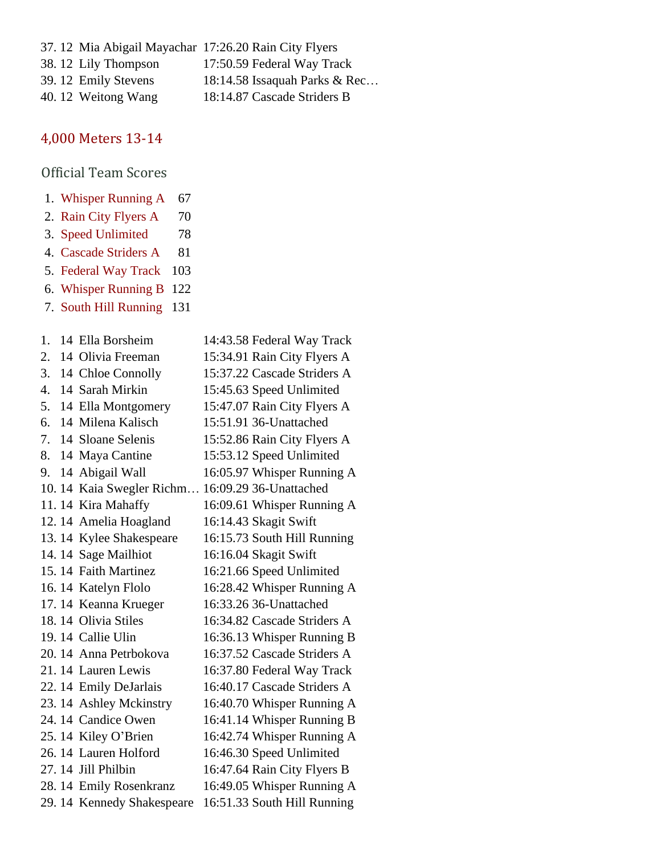| 37. 12 Mia Abigail Mayachar 17:26.20 Rain City Flyers |                               |
|-------------------------------------------------------|-------------------------------|
| 38.12 Lily Thompson                                   | 17:50.59 Federal Way Track    |
| 39.12 Emily Stevens                                   | 18:14.58 Issaquah Parks & Rec |
| 40.12 Weitong Wang                                    | 18:14.87 Cascade Striders B   |

# [4,000 Meters 13-14](https://www.athletic.net/CrossCountry/meet/136547/results/561574)

- 1. [Whisper Running A](https://www.athletic.net/CrossCountry/School.aspx?SchoolID=72159) 67
- 2. [Rain City Flyers A](https://www.athletic.net/CrossCountry/School.aspx?SchoolID=30070) 70
- 3. [Speed Unlimited](https://www.athletic.net/CrossCountry/School.aspx?SchoolID=36799) 78
- 4. [Cascade Striders A](https://www.athletic.net/CrossCountry/School.aspx?SchoolID=30059) 81
- 5. [Federal Way Track](https://www.athletic.net/CrossCountry/School.aspx?SchoolID=29808) 103
- 6. [Whisper Running B](https://www.athletic.net/CrossCountry/School.aspx?SchoolID=72159) 122
- 7. [South Hill Running](https://www.athletic.net/CrossCountry/School.aspx?SchoolID=73901) 131

| 1.               | 14 Ella Borsheim           | 14:43.58 Federal Way Track  |
|------------------|----------------------------|-----------------------------|
| 2.               | 14 Olivia Freeman          | 15:34.91 Rain City Flyers A |
| 3.               | 14 Chloe Connolly          | 15:37.22 Cascade Striders A |
| $\overline{4}$ . | 14 Sarah Mirkin            | 15:45.63 Speed Unlimited    |
| 5.               | 14 Ella Montgomery         | 15:47.07 Rain City Flyers A |
| 6.               | 14 Milena Kalisch          | 15:51.91 36-Unattached      |
| 7.               | 14 Sloane Selenis          | 15:52.86 Rain City Flyers A |
| 8.               | 14 Maya Cantine            | 15:53.12 Speed Unlimited    |
| 9.               | 14 Abigail Wall            | 16:05.97 Whisper Running A  |
|                  | 10. 14 Kaia Swegler Richm  | 16:09.29 36-Unattached      |
|                  | 11. 14 Kira Mahaffy        | 16:09.61 Whisper Running A  |
|                  | 12.14 Amelia Hoagland      | 16:14.43 Skagit Swift       |
|                  | 13. 14 Kylee Shakespeare   | 16:15.73 South Hill Running |
|                  | 14. 14 Sage Mailhiot       | 16:16.04 Skagit Swift       |
|                  | 15.14 Faith Martinez       | 16:21.66 Speed Unlimited    |
|                  | 16. 14 Katelyn Flolo       | 16:28.42 Whisper Running A  |
|                  | 17.14 Keanna Krueger       | 16:33.26 36-Unattached      |
|                  | 18.14 Olivia Stiles        | 16:34.82 Cascade Striders A |
|                  | 19.14 Callie Ulin          | 16:36.13 Whisper Running B  |
|                  | 20. 14 Anna Petrbokova     | 16:37.52 Cascade Striders A |
|                  | 21.14 Lauren Lewis         | 16:37.80 Federal Way Track  |
|                  | 22. 14 Emily DeJarlais     | 16:40.17 Cascade Striders A |
|                  | 23.14 Ashley Mckinstry     | 16:40.70 Whisper Running A  |
|                  | 24.14 Candice Owen         | 16:41.14 Whisper Running B  |
|                  | 25.14 Kiley O'Brien        | 16:42.74 Whisper Running A  |
|                  | 26.14 Lauren Holford       | 16:46.30 Speed Unlimited    |
|                  | 27.14 Jill Philbin         | 16:47.64 Rain City Flyers B |
|                  | 28.14 Emily Rosenkranz     | 16:49.05 Whisper Running A  |
|                  | 29. 14 Kennedy Shakespeare | 16:51.33 South Hill Running |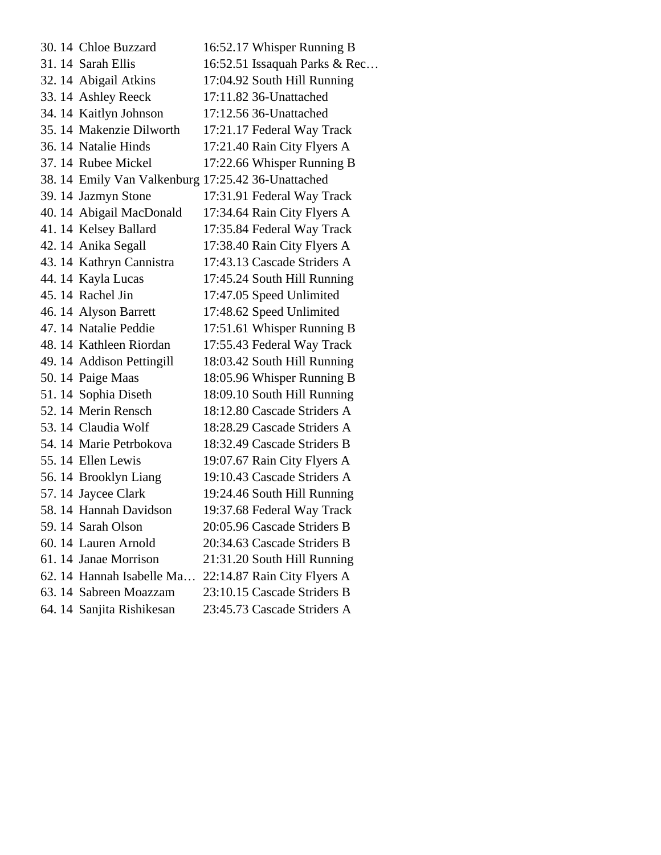| 30.14 Chloe Buzzard       | 16:52.17 Whisper Running B                         |
|---------------------------|----------------------------------------------------|
| 31.14 Sarah Ellis         | 16:52.51 Issaquah Parks & Rec                      |
| 32. 14 Abigail Atkins     | 17:04.92 South Hill Running                        |
| 33.14 Ashley Reeck        | 17:11.82 36-Unattached                             |
| 34.14 Kaitlyn Johnson     | 17:12.56 36-Unattached                             |
| 35.14 Makenzie Dilworth   | 17:21.17 Federal Way Track                         |
| 36.14 Natalie Hinds       | 17:21.40 Rain City Flyers A                        |
| 37.14 Rubee Mickel        | 17:22.66 Whisper Running B                         |
|                           | 38. 14 Emily Van Valkenburg 17:25.42 36-Unattached |
| 39.14 Jazmyn Stone        | 17:31.91 Federal Way Track                         |
| 40. 14 Abigail MacDonald  | 17:34.64 Rain City Flyers A                        |
| 41.14 Kelsey Ballard      | 17:35.84 Federal Way Track                         |
| 42.14 Anika Segall        | 17:38.40 Rain City Flyers A                        |
| 43.14 Kathryn Cannistra   | 17:43.13 Cascade Striders A                        |
| 44.14 Kayla Lucas         | 17:45.24 South Hill Running                        |
| 45.14 Rachel Jin          | 17:47.05 Speed Unlimited                           |
| 46. 14 Alyson Barrett     | 17:48.62 Speed Unlimited                           |
| 47.14 Natalie Peddie      | 17:51.61 Whisper Running B                         |
| 48.14 Kathleen Riordan    | 17:55.43 Federal Way Track                         |
| 49. 14 Addison Pettingill | 18:03.42 South Hill Running                        |
| 50. 14 Paige Maas         | 18:05.96 Whisper Running B                         |
| 51.14 Sophia Diseth       | 18:09.10 South Hill Running                        |
| 52.14 Merin Rensch        | 18:12.80 Cascade Striders A                        |
| 53.14 Claudia Wolf        | 18:28.29 Cascade Striders A                        |
| 54. 14 Marie Petrbokova   | 18:32.49 Cascade Striders B                        |
| 55.14 Ellen Lewis         | 19:07.67 Rain City Flyers A                        |
| 56.14 Brooklyn Liang      | 19:10.43 Cascade Striders A                        |
| 57.14 Jaycee Clark        | 19:24.46 South Hill Running                        |
| 58.14 Hannah Davidson     | 19:37.68 Federal Way Track                         |
| 59.14 Sarah Olson         | 20:05.96 Cascade Striders B                        |
| 60. 14 Lauren Arnold      | 20:34.63 Cascade Striders B                        |
| 61.14 Janae Morrison      | 21:31.20 South Hill Running                        |
| 62. 14 Hannah Isabelle Ma | 22:14.87 Rain City Flyers A                        |
| 63.14 Sabreen Moazzam     | 23:10.15 Cascade Striders B                        |
| 64. 14 Sanjita Rishikesan | 23:45.73 Cascade Striders A                        |
|                           |                                                    |